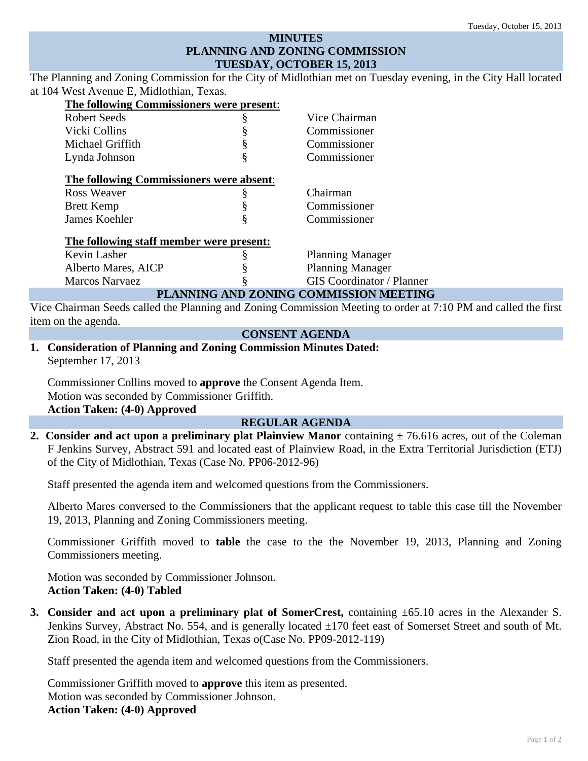# **MINUTES PLANNING AND ZONING COMMISSION TUESDAY, OCTOBER 15, 2013**

The Planning and Zoning Commission for the City of Midlothian met on Tuesday evening, in the City Hall located at 104 West Avenue E, Midlothian, Texas.

| The following Commissioners were present: |   |                                  |
|-------------------------------------------|---|----------------------------------|
| <b>Robert Seeds</b>                       | § | Vice Chairman                    |
| Vicki Collins                             |   | Commissioner                     |
| Michael Griffith                          |   | Commissioner                     |
| Lynda Johnson                             | § | Commissioner                     |
| The following Commissioners were absent:  |   |                                  |
| Ross Weaver                               | ş | Chairman                         |
| <b>Brett Kemp</b>                         |   | Commissioner                     |
| James Koehler                             |   | Commissioner                     |
| The following staff member were present:  |   |                                  |
| Kevin Lasher                              |   | <b>Planning Manager</b>          |
| Alberto Mares, AICP                       |   | <b>Planning Manager</b>          |
| <b>Marcos Narvaez</b>                     |   | <b>GIS</b> Coordinator / Planner |

## **PLANNING AND ZONING COMMISSION MEETING**

Vice Chairman Seeds called the Planning and Zoning Commission Meeting to order at 7:10 PM and called the first item on the agenda.

## **CONSENT AGENDA**

**1. Consideration of Planning and Zoning Commission Minutes Dated:**  September 17, 2013

Commissioner Collins moved to **approve** the Consent Agenda Item. Motion was seconded by Commissioner Griffith. **Action Taken: (4-0) Approved** 

## **REGULAR AGENDA**

**2. Consider and act upon a preliminary plat Plainview Manor** containing  $\pm$  76.616 acres, out of the Coleman F Jenkins Survey, Abstract 591 and located east of Plainview Road, in the Extra Territorial Jurisdiction (ETJ) of the City of Midlothian, Texas (Case No. PP06-2012-96)

Staff presented the agenda item and welcomed questions from the Commissioners.

Alberto Mares conversed to the Commissioners that the applicant request to table this case till the November 19, 2013, Planning and Zoning Commissioners meeting.

Commissioner Griffith moved to **table** the case to the the November 19, 2013, Planning and Zoning Commissioners meeting.

Motion was seconded by Commissioner Johnson. **Action Taken: (4-0) Tabled** 

**3. Consider and act upon a preliminary plat of SomerCrest,** containing ±65.10 acres in the Alexander S. Jenkins Survey, Abstract No. 554, and is generally located ±170 feet east of Somerset Street and south of Mt. Zion Road, in the City of Midlothian, Texas o(Case No. PP09-2012-119)

Staff presented the agenda item and welcomed questions from the Commissioners.

Commissioner Griffith moved to **approve** this item as presented. Motion was seconded by Commissioner Johnson. **Action Taken: (4-0) Approved**